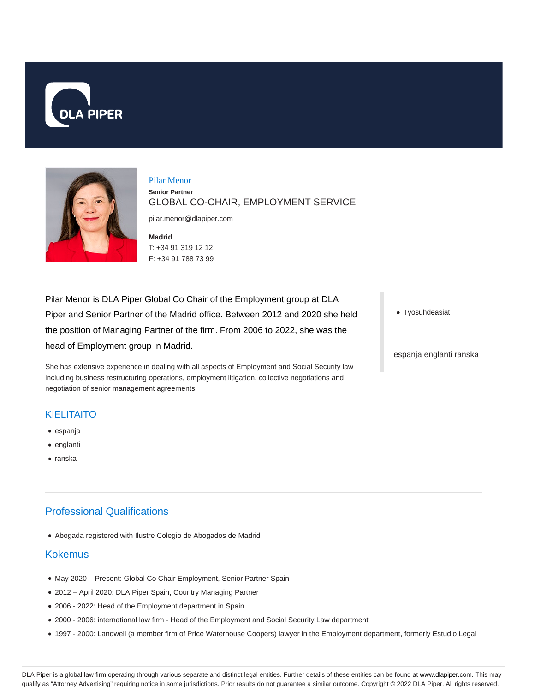



### Pilar Menor **Senior Partner** GLOBAL CO-CHAIR, EMPLOYMENT SERVICE

pilar.menor@dlapiper.com

**Madrid** T: +34 91 319 12 12 F: +34 91 788 73 99

Pilar Menor is DLA Piper Global Co Chair of the Employment group at DLA Piper and Senior Partner of the Madrid office. Between 2012 and 2020 she held the position of Managing Partner of the firm. From 2006 to 2022, she was the head of Employment group in Madrid.

She has extensive experience in dealing with all aspects of Employment and Social Security law including business restructuring operations, employment litigation, collective negotiations and negotiation of senior management agreements.

### **KIELITAITO**

- espanja
- englanti
- $•$  ranska

# Professional Qualifications

Abogada registered with Ilustre Colegio de Abogados de Madrid

### Kokemus

- May 2020 Present: Global Co Chair Employment, Senior Partner Spain
- 2012 April 2020: DLA Piper Spain, Country Managing Partner
- 2006 2022: Head of the Employment department in Spain
- 2000 2006: international law firm Head of the Employment and Social Security Law department
- 1997 2000: Landwell (a member firm of Price Waterhouse Coopers) lawyer in the Employment department, formerly Estudio Legal

Työsuhdeasiat

espanja englanti ranska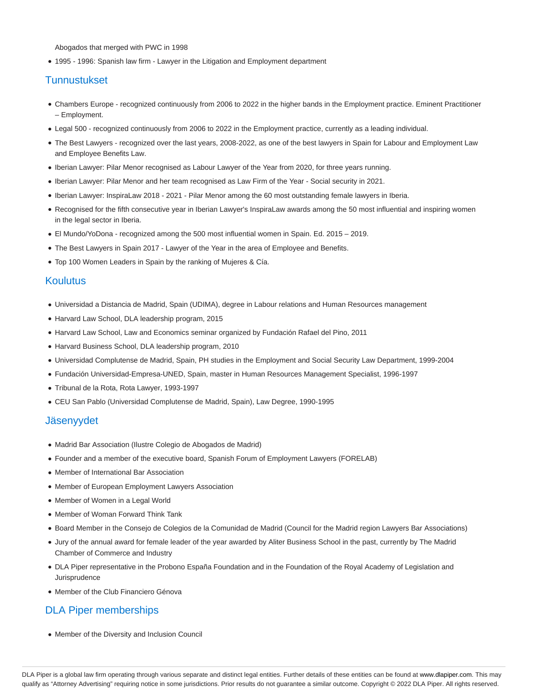Abogados that merged with PWC in 1998

1995 - 1996: Spanish law firm - Lawyer in the Litigation and Employment department

## Tunnustukset

- Chambers Europe recognized continuously from 2006 to 2022 in the higher bands in the Employment practice. Eminent Practitioner – Employment.
- Legal 500 recognized continuously from 2006 to 2022 in the Employment practice, currently as a leading individual.
- The Best Lawyers recognized over the last years, 2008-2022, as one of the best lawyers in Spain for Labour and Employment Law and Employee Benefits Law.
- Iberian Lawyer: Pilar Menor recognised as Labour Lawyer of the Year from 2020, for three years running.
- Iberian Lawyer: Pilar Menor and her team recognised as Law Firm of the Year Social security in 2021.
- Iberian Lawyer: InspiraLaw 2018 2021 Pilar Menor among the 60 most outstanding female lawyers in Iberia.
- Recognised for the fifth consecutive year in Iberian Lawyer's InspiraLaw awards among the 50 most influential and inspiring women in the legal sector in Iberia.
- El Mundo/YoDona recognized among the 500 most influential women in Spain. Ed. 2015 2019.
- The Best Lawyers in Spain 2017 Lawyer of the Year in the area of Employee and Benefits.
- Top 100 Women Leaders in Spain by the ranking of Mujeres & Cía.

### Koulutus

- Universidad a Distancia de Madrid, Spain (UDIMA), degree in Labour relations and Human Resources management
- Harvard Law School, DLA leadership program, 2015
- Harvard Law School, Law and Economics seminar organized by Fundación Rafael del Pino, 2011
- Harvard Business School, DLA leadership program, 2010
- Universidad Complutense de Madrid, Spain, PH studies in the Employment and Social Security Law Department, 1999-2004
- Fundación Universidad-Empresa-UNED, Spain, master in Human Resources Management Specialist, 1996-1997
- Tribunal de la Rota, Rota Lawyer, 1993-1997
- CEU San Pablo (Universidad Complutense de Madrid, Spain), Law Degree, 1990-1995

#### Jäsenyydet

- Madrid Bar Association (Ilustre Colegio de Abogados de Madrid)
- Founder and a member of the executive board, Spanish Forum of Employment Lawyers (FORELAB)
- Member of International Bar Association
- Member of European Employment Lawyers Association
- Member of Women in a Legal World
- Member of Woman Forward Think Tank
- Board Member in the Consejo de Colegios de la Comunidad de Madrid (Council for the Madrid region Lawyers Bar Associations)
- Jury of the annual award for female leader of the year awarded by Aliter Business School in the past, currently by The Madrid Chamber of Commerce and Industry
- DLA Piper representative in the Probono España Foundation and in the Foundation of the Royal Academy of Legislation and Jurisprudence
- Member of the Club Financiero Génova

## DLA Piper memberships

Member of the Diversity and Inclusion Council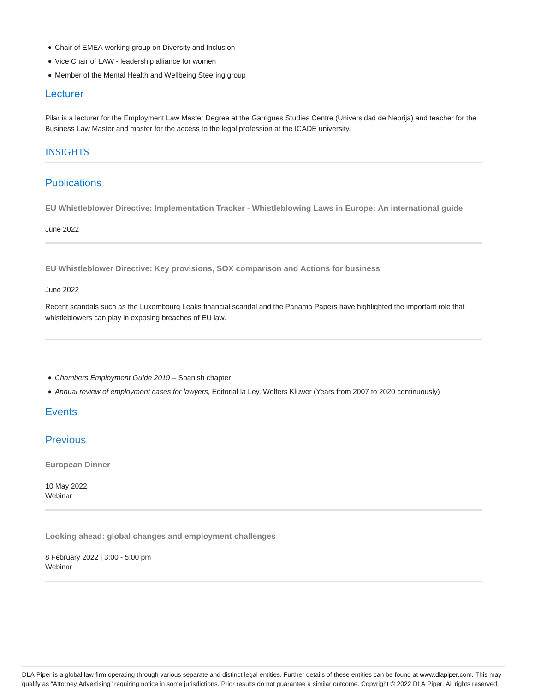- Chair of EMEA working group on Diversity and Inclusion
- Vice Chair of LAW leadership alliance for women
- Member of the Mental Health and Wellbeing Steering group

#### **Lecturer**

Pilar is a lecturer for the Employment Law Master Degree at the Garrigues Studies Centre (Universidad de Nebrija) and teacher for the Business Law Master and master for the access to the legal profession at the ICADE university.

#### INSIGHTS

### **Publications**

**EU Whistleblower Directive: Implementation Tracker - Whistleblowing Laws in Europe: An international guide**

June 2022

**EU Whistleblower Directive: Key provisions, SOX comparison and Actions for business**

### June 2022

Recent scandals such as the Luxembourg Leaks financial scandal and the Panama Papers have highlighted the important role that whistleblowers can play in exposing breaches of EU law.

- Chambers Employment Guide 2019 Spanish chapter
- Annual review of employment cases for lawyers, Editorial la Ley, Wolters Kluwer (Years from 2007 to 2020 continuously)

## **Events**

## **Previous**

**European Dinner**

10 May 2022 Webinar

**Looking ahead: global changes and employment challenges**

8 February 2022 | 3:00 - 5:00 pm Webinar